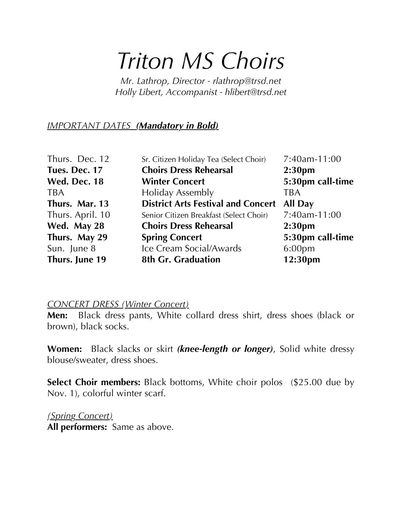# *Triton MS Choirs*

*Mr. Lathrop, Director - rlathrop@trsd.net Holly Libert, Accompanist - hlibert@trsd.net*

### *IMPORTANT DATES (Mandatory in Bold)*

| Thurs. Dec. 12   | Sr. Citizen Holiday Tea (Select Choir)    | 7:40am-11:00       |
|------------------|-------------------------------------------|--------------------|
| Tues. Dec. 17    | <b>Choirs Dress Rehearsal</b>             | 2:30 <sub>pm</sub> |
| Wed. Dec. 18     | <b>Winter Concert</b>                     | 5:30pm call-time   |
| <b>TBA</b>       | <b>Holiday Assembly</b>                   | <b>TBA</b>         |
| Thurs. Mar. 13   | <b>District Arts Festival and Concert</b> | <b>All Day</b>     |
| Thurs. April. 10 | Senior Citizen Breakfast (Select Choir)   | 7:40am-11:00       |
| Wed. May 28      | <b>Choirs Dress Rehearsal</b>             | 2:30 <sub>pm</sub> |
| Thurs. May 29    | <b>Spring Concert</b>                     | 5:30pm call-time   |
| Sun. June 8      | Ice Cream Social/Awards                   | 6:00 <sub>pm</sub> |
| Thurs. June 19   | 8th Gr. Graduation                        | 12:30pm            |

#### *CONCERT DRESS (Winter Concert)*

**Men:** Black dress pants, White collard dress shirt, dress shoes (black or brown), black socks.

**Women:** Black slacks or skirt *(knee-length or longer)*, Solid white dressy blouse/sweater, dress shoes.

**Select Choir members:** Black bottoms, White choir polos (\$25.00 due by Nov. 1), colorful winter scarf.

*(Spring Concert)* **All performers:** Same as above.